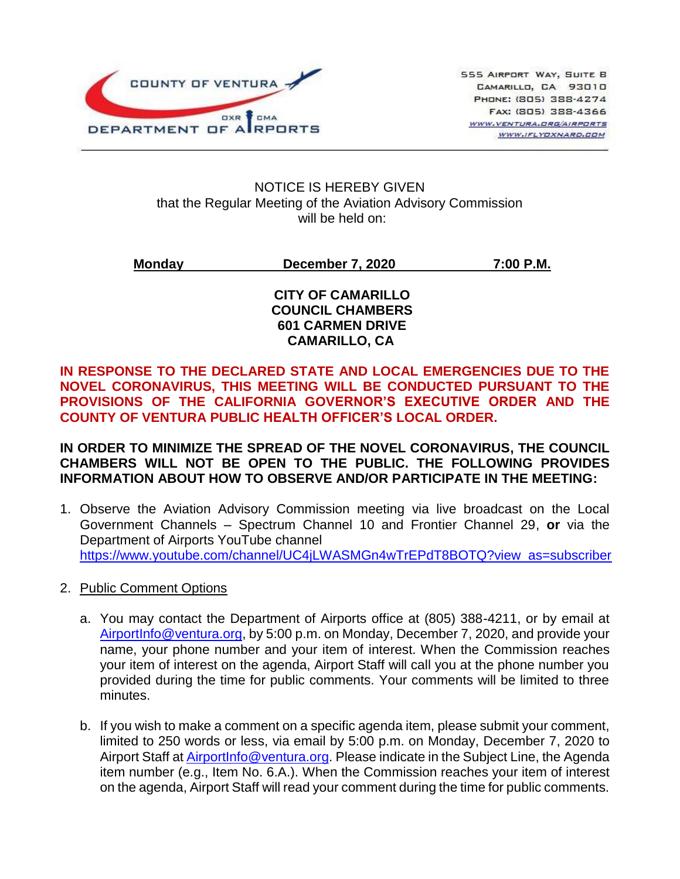

#### NOTICE IS HEREBY GIVEN that the Regular Meeting of the Aviation Advisory Commission will be held on:

**Monday December 7, 2020 7:00 P.M.**

### **CITY OF CAMARILLO COUNCIL CHAMBERS 601 CARMEN DRIVE CAMARILLO, CA**

**IN RESPONSE TO THE DECLARED STATE AND LOCAL EMERGENCIES DUE TO THE NOVEL CORONAVIRUS, THIS MEETING WILL BE CONDUCTED PURSUANT TO THE PROVISIONS OF THE CALIFORNIA GOVERNOR'S EXECUTIVE ORDER AND THE COUNTY OF VENTURA PUBLIC HEALTH OFFICER'S LOCAL ORDER.**

### **IN ORDER TO MINIMIZE THE SPREAD OF THE NOVEL CORONAVIRUS, THE COUNCIL CHAMBERS WILL NOT BE OPEN TO THE PUBLIC. THE FOLLOWING PROVIDES INFORMATION ABOUT HOW TO OBSERVE AND/OR PARTICIPATE IN THE MEETING:**

- 1. Observe the Aviation Advisory Commission meeting via live broadcast on the Local Government Channels – Spectrum Channel 10 and Frontier Channel 29, **or** via the Department of Airports YouTube channel [https://www.youtube.com/channel/UC4jLWASMGn4wTrEPdT8BOTQ?view\\_as=subscriber](https://www.youtube.com/channel/UC4jLWASMGn4wTrEPdT8BOTQ?view_as=subscriber)
- 2. Public Comment Options
	- a. You may contact the Department of Airports office at (805) 388-4211, or by email at [AirportInfo@ventura.org,](mailto:AirportInfo@ventura.org) by 5:00 p.m. on Monday, December 7, 2020, and provide your name, your phone number and your item of interest. When the Commission reaches your item of interest on the agenda, Airport Staff will call you at the phone number you provided during the time for public comments. Your comments will be limited to three minutes.
	- b. If you wish to make a comment on a specific agenda item, please submit your comment, limited to 250 words or less, via email by 5:00 p.m. on Monday, December 7, 2020 to Airport Staff at **AirportInfo@ventura.org.** Please indicate in the Subject Line, the Agenda item number (e.g., Item No. 6.A.). When the Commission reaches your item of interest on the agenda, Airport Staff will read your comment during the time for public comments.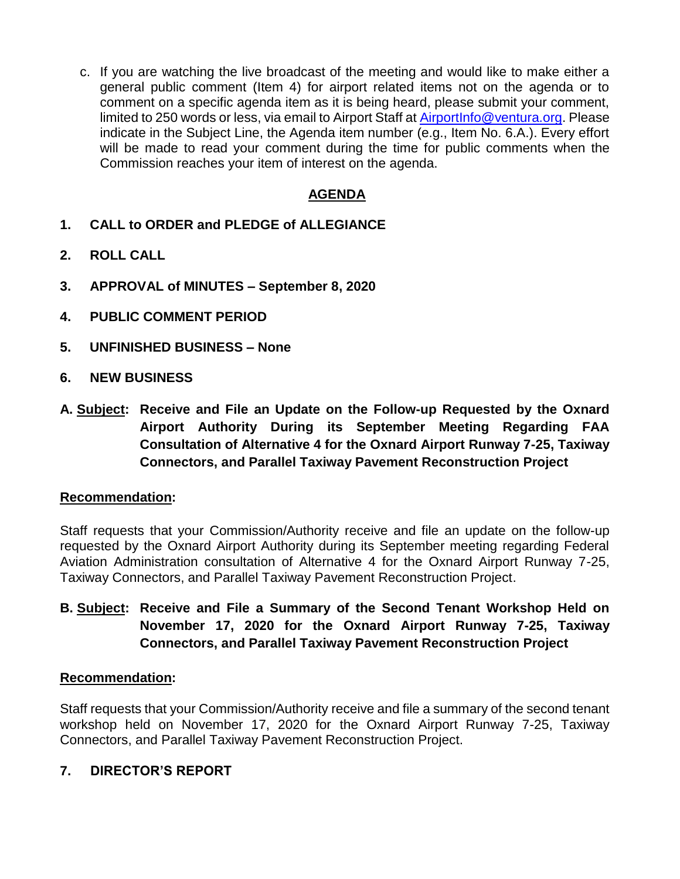c. If you are watching the live broadcast of the meeting and would like to make either a general public comment (Item 4) for airport related items not on the agenda or to comment on a specific agenda item as it is being heard, please submit your comment, limited to 250 words or less, via email to Airport Staff at [AirportInfo@ventura.org.](mailto:AirportInfo@ventura.org) Please indicate in the Subject Line, the Agenda item number (e.g., Item No. 6.A.). Every effort will be made to read your comment during the time for public comments when the Commission reaches your item of interest on the agenda.

# **AGENDA**

- **1. CALL to ORDER and PLEDGE of ALLEGIANCE**
- **2. ROLL CALL**
- **3. APPROVAL of MINUTES – September 8, 2020**
- **4. PUBLIC COMMENT PERIOD**
- **5. UNFINISHED BUSINESS – None**
- **6. NEW BUSINESS**
- **A. Subject: Receive and File an Update on the Follow-up Requested by the Oxnard Airport Authority During its September Meeting Regarding FAA Consultation of Alternative 4 for the Oxnard Airport Runway 7-25, Taxiway Connectors, and Parallel Taxiway Pavement Reconstruction Project**

### **Recommendation:**

Staff requests that your Commission/Authority receive and file an update on the follow-up requested by the Oxnard Airport Authority during its September meeting regarding Federal Aviation Administration consultation of Alternative 4 for the Oxnard Airport Runway 7-25, Taxiway Connectors, and Parallel Taxiway Pavement Reconstruction Project.

**B. Subject: Receive and File a Summary of the Second Tenant Workshop Held on November 17, 2020 for the Oxnard Airport Runway 7-25, Taxiway Connectors, and Parallel Taxiway Pavement Reconstruction Project**

### **Recommendation:**

Staff requests that your Commission/Authority receive and file a summary of the second tenant workshop held on November 17, 2020 for the Oxnard Airport Runway 7-25, Taxiway Connectors, and Parallel Taxiway Pavement Reconstruction Project.

### **7. DIRECTOR'S REPORT**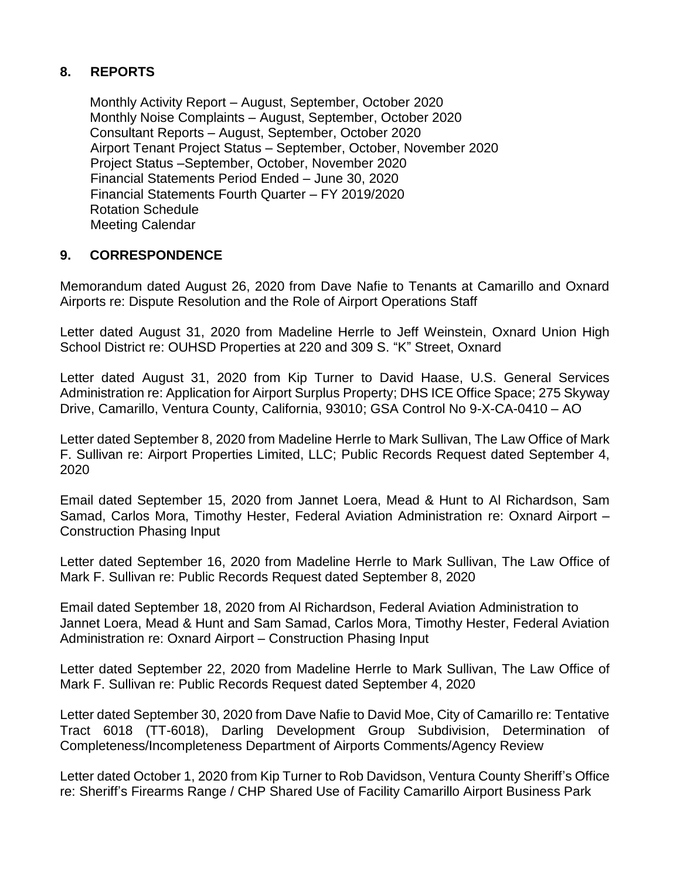# **8. REPORTS**

Monthly Activity Report – August, September, October 2020 Monthly Noise Complaints – August, September, October 2020 Consultant Reports – August, September, October 2020 Airport Tenant Project Status – September, October, November 2020 Project Status –September, October, November 2020 Financial Statements Period Ended – June 30, 2020 Financial Statements Fourth Quarter – FY 2019/2020 Rotation Schedule Meeting Calendar

### **9. CORRESPONDENCE**

Memorandum dated August 26, 2020 from Dave Nafie to Tenants at Camarillo and Oxnard Airports re: Dispute Resolution and the Role of Airport Operations Staff

Letter dated August 31, 2020 from Madeline Herrle to Jeff Weinstein, Oxnard Union High School District re: OUHSD Properties at 220 and 309 S. "K" Street, Oxnard

Letter dated August 31, 2020 from Kip Turner to David Haase, U.S. General Services Administration re: Application for Airport Surplus Property; DHS ICE Office Space; 275 Skyway Drive, Camarillo, Ventura County, California, 93010; GSA Control No 9-X-CA-0410 – AO

Letter dated September 8, 2020 from Madeline Herrle to Mark Sullivan, The Law Office of Mark F. Sullivan re: Airport Properties Limited, LLC; Public Records Request dated September 4, 2020

Email dated September 15, 2020 from Jannet Loera, Mead & Hunt to Al Richardson, Sam Samad, Carlos Mora, Timothy Hester, Federal Aviation Administration re: Oxnard Airport – Construction Phasing Input

Letter dated September 16, 2020 from Madeline Herrle to Mark Sullivan, The Law Office of Mark F. Sullivan re: Public Records Request dated September 8, 2020

Email dated September 18, 2020 from Al Richardson, Federal Aviation Administration to Jannet Loera, Mead & Hunt and Sam Samad, Carlos Mora, Timothy Hester, Federal Aviation Administration re: Oxnard Airport – Construction Phasing Input

Letter dated September 22, 2020 from Madeline Herrle to Mark Sullivan, The Law Office of Mark F. Sullivan re: Public Records Request dated September 4, 2020

Letter dated September 30, 2020 from Dave Nafie to David Moe, City of Camarillo re: Tentative Tract 6018 (TT-6018), Darling Development Group Subdivision, Determination of Completeness/Incompleteness Department of Airports Comments/Agency Review

Letter dated October 1, 2020 from Kip Turner to Rob Davidson, Ventura County Sheriff's Office re: Sheriff's Firearms Range / CHP Shared Use of Facility Camarillo Airport Business Park